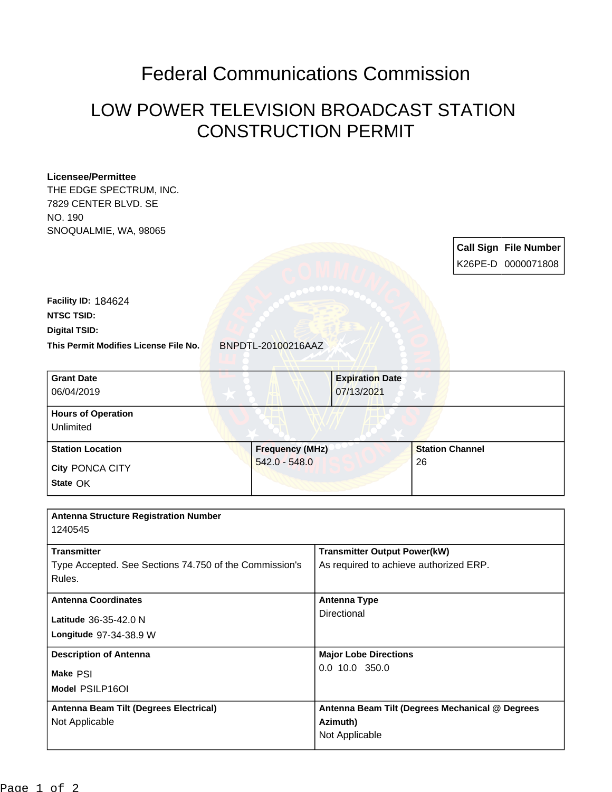## Federal Communications Commission

## LOW POWER TELEVISION BROADCAST STATION CONSTRUCTION PERMIT

## **Licensee/Permittee**

THE EDGE SPECTRUM, INC. 7829 CENTER BLVD. SE NO. 190 SNOQUALMIE, WA, 98065

> **Call Sign File Number** K26PE-D 0000071808

**This Permit Modifies License File No.** BNPDTL-20100216AAZ **Digital TSID: NTSC TSID: Facility ID:** 184624

| <b>Grant Date</b><br>06/04/2019        | <b>Expiration Date</b><br>07/13/2021 |                        |
|----------------------------------------|--------------------------------------|------------------------|
| <b>Hours of Operation</b><br>Unlimited |                                      |                        |
| <b>Station Location</b>                | <b>Frequency (MHz)</b>               | <b>Station Channel</b> |
| <b>City PONCA CITY</b><br>State OK     | $542.0 - 548.0$                      | 26                     |

| <b>Antenna Structure Registration Number</b>                                 |                                                                               |
|------------------------------------------------------------------------------|-------------------------------------------------------------------------------|
| 1240545                                                                      |                                                                               |
| <b>Transmitter</b><br>Type Accepted. See Sections 74.750 of the Commission's | <b>Transmitter Output Power(kW)</b><br>As required to achieve authorized ERP. |
| Rules.                                                                       |                                                                               |
| <b>Antenna Coordinates</b>                                                   | Antenna Type                                                                  |
| Latitude 36-35-42.0 N                                                        | Directional                                                                   |
| <b>Longitude 97-34-38.9 W</b>                                                |                                                                               |
| <b>Description of Antenna</b>                                                | <b>Major Lobe Directions</b>                                                  |
| Make PSI                                                                     | $0.0$ 10.0 350.0                                                              |
| Model PSILP16OI                                                              |                                                                               |
| Antenna Beam Tilt (Degrees Electrical)                                       | Antenna Beam Tilt (Degrees Mechanical @ Degrees                               |
| Not Applicable                                                               | Azimuth)                                                                      |
|                                                                              | Not Applicable                                                                |